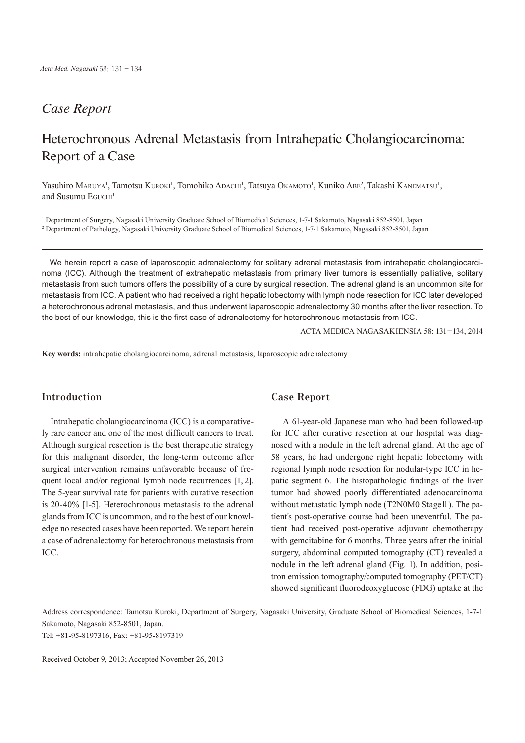## *Case Report*

# Heterochronous Adrenal Metastasis from Intrahepatic Cholangiocarcinoma: Report of a Case

Yasuhiro Maruya<sup>1</sup>, Tamotsu Kuroki<sup>1</sup>, Tomohiko Adachi<sup>1</sup>, Tatsuya Okamoto<sup>1</sup>, Kuniko Abe<sup>2</sup>, Takashi Kanematsu<sup>1</sup>, and Susumu  $E$ *GUCHI*<sup>1</sup>

1 Department of Surgery, Nagasaki University Graduate School of Biomedical Sciences, 1-7-1 Sakamoto, Nagasaki 852-8501, Japan 2 Department of Pathology, Nagasaki University Graduate School of Biomedical Sciences, 1-7-1 Sakamoto, Nagasaki 852-8501, Japan

We herein report a case of laparoscopic adrenalectomy for solitary adrenal metastasis from intrahepatic cholangiocarcinoma (ICC). Although the treatment of extrahepatic metastasis from primary liver tumors is essentially palliative, solitary metastasis from such tumors offers the possibility of a cure by surgical resection. The adrenal gland is an uncommon site for metastasis from ICC. A patient who had received a right hepatic lobectomy with lymph node resection for ICC later developed a heterochronous adrenal metastasis, and thus underwent laparoscopic adrenalectomy 30 months after the liver resection. To the best of our knowledge, this is the first case of adrenalectomy for heterochronous metastasis from ICC.

ACTA MEDICA NAGASAKIENSIA 58: 131−134, 2014

**Key words:** intrahepatic cholangiocarcinoma, adrenal metastasis, laparoscopic adrenalectomy

### **Introduction**

Intrahepatic cholangiocarcinoma (ICC) is a comparatively rare cancer and one of the most difficult cancers to treat. Although surgical resection is the best therapeutic strategy for this malignant disorder, the long-term outcome after surgical intervention remains unfavorable because of frequent local and/or regional lymph node recurrences [1, 2]. The 5-year survival rate for patients with curative resection is 20-40% [1-5]. Heterochronous metastasis to the adrenal glands from ICC is uncommon, and to the best of our knowledge no resected cases have been reported. We report herein a case of adrenalectomy for heterochronous metastasis from ICC.

#### **Case Report**

A 61-year-old Japanese man who had been followed-up for ICC after curative resection at our hospital was diagnosed with a nodule in the left adrenal gland. At the age of 58 years, he had undergone right hepatic lobectomy with regional lymph node resection for nodular-type ICC in hepatic segment 6. The histopathologic findings of the liver tumor had showed poorly differentiated adenocarcinoma without metastatic lymph node (T2N0M0 StageII). The patient's post-operative course had been uneventful. The patient had received post-operative adjuvant chemotherapy with gemcitabine for 6 months. Three years after the initial surgery, abdominal computed tomography (CT) revealed a nodule in the left adrenal gland (Fig. 1). In addition, positron emission tomography/computed tomography (PET/CT) showed significant fluorodeoxyglucose (FDG) uptake at the

Address correspondence: Tamotsu Kuroki, Department of Surgery, Nagasaki University, Graduate School of Biomedical Sciences, 1-7-1 Sakamoto, Nagasaki 852-8501, Japan.

Tel: +81-95-8197316, Fax: +81-95-8197319

Received October 9, 2013; Accepted November 26, 2013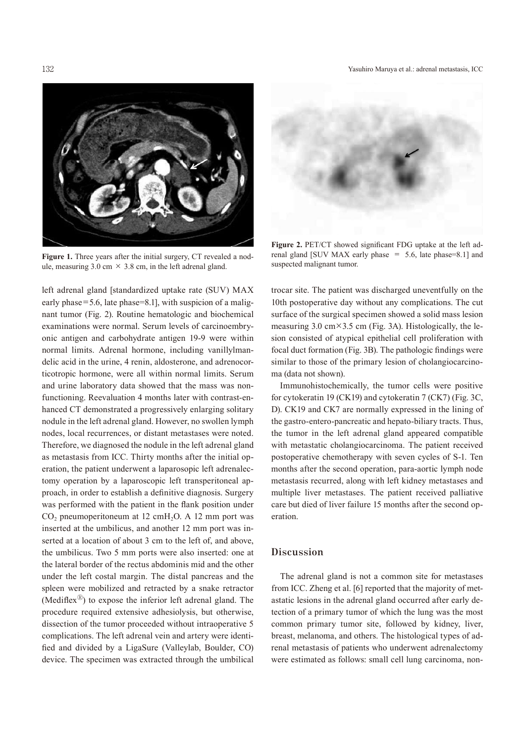132 Yasuhiro Maruya et al.: adrenal metastasis, ICC



**Figure 1.** Three years after the initial surgery, CT revealed a nodule, measuring 3.0 cm  $\times$  3.8 cm, in the left adrenal gland.

left adrenal gland [standardized uptake rate (SUV) MAX early phase=5.6, late phase=8.1], with suspicion of a malignant tumor (Fig. 2). Routine hematologic and biochemical examinations were normal. Serum levels of carcinoembryonic antigen and carbohydrate antigen 19-9 were within normal limits. Adrenal hormone, including vanillylmandelic acid in the urine, 4 renin, aldosterone, and adrenocorticotropic hormone, were all within normal limits. Serum and urine laboratory data showed that the mass was nonfunctioning. Reevaluation 4 months later with contrast-enhanced CT demonstrated a progressively enlarging solitary nodule in the left adrenal gland. However, no swollen lymph nodes, local recurrences, or distant metastases were noted. Therefore, we diagnosed the nodule in the left adrenal gland as metastasis from ICC. Thirty months after the initial operation, the patient underwent a laparosopic left adrenalectomy operation by a laparoscopic left transperitoneal approach, in order to establish a definitive diagnosis. Surgery was performed with the patient in the flank position under  $CO<sub>2</sub>$  pneumoperitoneum at 12 cmH<sub>2</sub>O. A 12 mm port was inserted at the umbilicus, and another 12 mm port was inserted at a location of about 3 cm to the left of, and above, the umbilicus. Two 5 mm ports were also inserted: one at the lateral border of the rectus abdominis mid and the other under the left costal margin. The distal pancreas and the spleen were mobilized and retracted by a snake retractor (Mediflex<sup>®</sup>) to expose the inferior left adrenal gland. The procedure required extensive adhesiolysis, but otherwise, dissection of the tumor proceeded without intraoperative 5 complications. The left adrenal vein and artery were identified and divided by a LigaSure (Valleylab, Boulder, CO) device. The specimen was extracted through the umbilical



**Figure 2.** PET/CT showed significant FDG uptake at the left adrenal gland [SUV MAX early phase  $= 5.6$ , late phase=8.1] and suspected malignant tumor.

trocar site. The patient was discharged uneventfully on the 10th postoperative day without any complications. The cut surface of the surgical specimen showed a solid mass lesion measuring 3.0 cm $\times$ 3.5 cm (Fig. 3A). Histologically, the lesion consisted of atypical epithelial cell proliferation with focal duct formation (Fig. 3B). The pathologic findings were similar to those of the primary lesion of cholangiocarcinoma (data not shown).

Immunohistochemically, the tumor cells were positive for cytokeratin 19 (CK19) and cytokeratin 7 (CK7) (Fig. 3C, D). CK19 and CK7 are normally expressed in the lining of the gastro-entero-pancreatic and hepato-biliary tracts. Thus, the tumor in the left adrenal gland appeared compatible with metastatic cholangiocarcinoma. The patient received postoperative chemotherapy with seven cycles of S-1. Ten months after the second operation, para-aortic lymph node metastasis recurred, along with left kidney metastases and multiple liver metastases. The patient received palliative care but died of liver failure 15 months after the second operation.

#### **Discussion**

The adrenal gland is not a common site for metastases from ICC. Zheng et al. [6] reported that the majority of metastatic lesions in the adrenal gland occurred after early detection of a primary tumor of which the lung was the most common primary tumor site, followed by kidney, liver, breast, melanoma, and others. The histological types of adrenal metastasis of patients who underwent adrenalectomy were estimated as follows: small cell lung carcinoma, non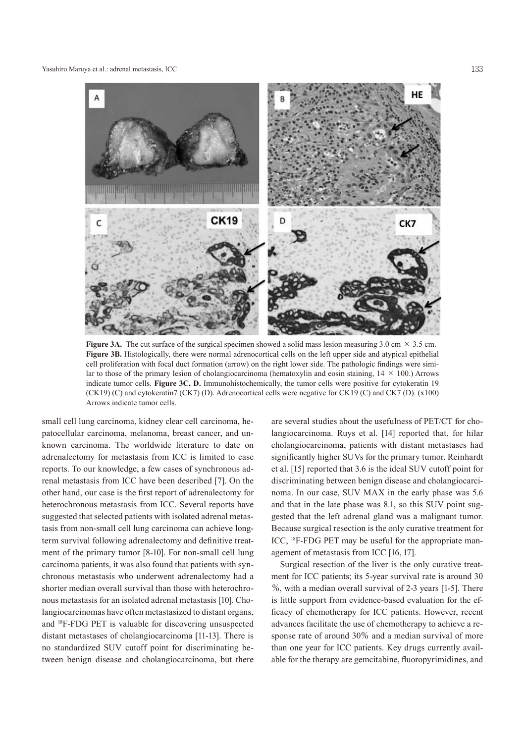Yasuhiro Maruya et al.: adrenal metastasis, ICC 133



**Figure 3A.** The cut surface of the surgical specimen showed a solid mass lesion measuring  $3.0 \text{ cm} \times 3.5 \text{ cm}$ . **Figure 3B.** Histologically, there were normal adrenocortical cells on the left upper side and atypical epithelial cell proliferation with focal duct formation (arrow) on the right lower side. The pathologic findings were similar to those of the primary lesion of cholangiocarcinoma (hematoxylin and eosin staining,  $14 \times 100$ .) Arrows indicate tumor cells. **Figure 3C, D.** Immunohistochemically, the tumor cells were positive for cytokeratin 19 (CK19) (C) and cytokeratin7 (CK7) (D). Adrenocortical cells were negative for CK19 (C) and CK7 (D). (x100) Arrows indicate tumor cells.

small cell lung carcinoma, kidney clear cell carcinoma, hepatocellular carcinoma, melanoma, breast cancer, and unknown carcinoma. The worldwide literature to date on adrenalectomy for metastasis from ICC is limited to case reports. To our knowledge, a few cases of synchronous adrenal metastasis from ICC have been described [7]. On the other hand, our case is the first report of adrenalectomy for heterochronous metastasis from ICC. Several reports have suggested that selected patients with isolated adrenal metastasis from non-small cell lung carcinoma can achieve longterm survival following adrenalectomy and definitive treatment of the primary tumor [8-10]. For non-small cell lung carcinoma patients, it was also found that patients with synchronous metastasis who underwent adrenalectomy had a shorter median overall survival than those with heterochronous metastasis for an isolated adrenal metastasis [10]. Cholangiocarcinomas have often metastasized to distant organs, and <sup>18</sup> F-FDG PET is valuable for discovering unsuspected distant metastases of cholangiocarcinoma [11-13]. There is no standardized SUV cutoff point for discriminating between benign disease and cholangiocarcinoma, but there

are several studies about the usefulness of PET/CT for cholangiocarcinoma. Ruys et al. [14] reported that, for hilar cholangiocarcinoma, patients with distant metastases had significantly higher SUVs for the primary tumor. Reinhardt et al. [15] reported that 3.6 is the ideal SUV cutoff point for discriminating between benign disease and cholangiocarcinoma. In our case, SUV MAX in the early phase was 5.6 and that in the late phase was 8.1, so this SUV point suggested that the left adrenal gland was a malignant tumor. Because surgical resection is the only curative treatment for ICC, <sup>18</sup>F-FDG PET may be useful for the appropriate management of metastasis from ICC [16, 17].

Surgical resection of the liver is the only curative treatment for ICC patients; its 5-year survival rate is around 30 %, with a median overall survival of 2-3 years [1-5]. There is little support from evidence-based evaluation for the efficacy of chemotherapy for ICC patients. However, recent advances facilitate the use of chemotherapy to achieve a response rate of around 30% and a median survival of more than one year for ICC patients. Key drugs currently available for the therapy are gemcitabine, fluoropyrimidines, and